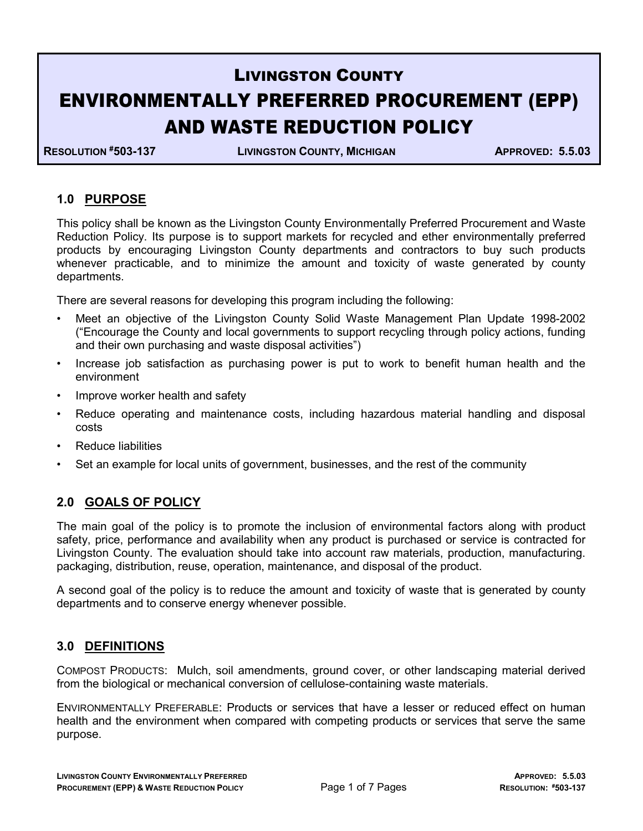# LIVINGSTON COUNTY ENVIRONMENTALLY PREFERRED PROCUREMENT (EPP) AND WASTE REDUCTION POLICY

RESOLUTION #503-137 LIVINGSTON COUNTY, MICHIGAN APPROVED: 5.5.03

### 1.0 PURPOSE

This policy shall be known as the Livingston County Environmentally Preferred Procurement and Waste Reduction Policy. Its purpose is to support markets for recycled and ether environmentally preferred products by encouraging Livingston County departments and contractors to buy such products whenever practicable, and to minimize the amount and toxicity of waste generated by county departments.

There are several reasons for developing this program including the following:

- Meet an objective of the Livingston County Solid Waste Management Plan Update 1998-2002 ("Encourage the County and local governments to support recycling through policy actions, funding and their own purchasing and waste disposal activities")
- Increase job satisfaction as purchasing power is put to work to benefit human health and the environment
- Improve worker health and safety
- Reduce operating and maintenance costs, including hazardous material handling and disposal costs
- Reduce liabilities
- Set an example for local units of government, businesses, and the rest of the community

#### 2.0 GOALS OF POLICY

The main goal of the policy is to promote the inclusion of environmental factors along with product safety, price, performance and availability when any product is purchased or service is contracted for Livingston County. The evaluation should take into account raw materials, production, manufacturing. packaging, distribution, reuse, operation, maintenance, and disposal of the product.

A second goal of the policy is to reduce the amount and toxicity of waste that is generated by county departments and to conserve energy whenever possible.

#### 3.0 DEFINITIONS

COMPOST PRODUCTS: Mulch, soil amendments, ground cover, or other landscaping material derived from the biological or mechanical conversion of cellulose-containing waste materials.

ENVIRONMENTALLY PREFERABLE: Products or services that have a lesser or reduced effect on human health and the environment when compared with competing products or services that serve the same purpose.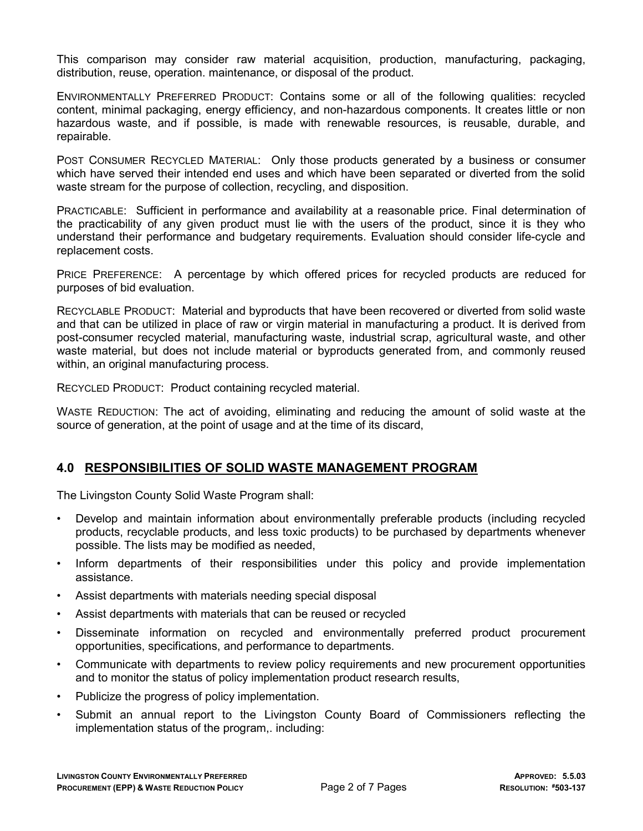This comparison may consider raw material acquisition, production, manufacturing, packaging, distribution, reuse, operation. maintenance, or disposal of the product.

ENVIRONMENTALLY PREFERRED PRODUCT: Contains some or all of the following qualities: recycled content, minimal packaging, energy efficiency, and non-hazardous components. It creates little or non hazardous waste, and if possible, is made with renewable resources, is reusable, durable, and repairable.

POST CONSUMER RECYCLED MATERIAL: Only those products generated by a business or consumer which have served their intended end uses and which have been separated or diverted from the solid waste stream for the purpose of collection, recycling, and disposition.

PRACTICABLE: Sufficient in performance and availability at a reasonable price. Final determination of the practicability of any given product must lie with the users of the product, since it is they who understand their performance and budgetary requirements. Evaluation should consider life-cycle and replacement costs.

PRICE PREFERENCE: A percentage by which offered prices for recycled products are reduced for purposes of bid evaluation.

RECYCLABLE PRODUCT: Material and byproducts that have been recovered or diverted from solid waste and that can be utilized in place of raw or virgin material in manufacturing a product. It is derived from post-consumer recycled material, manufacturing waste, industrial scrap, agricultural waste, and other waste material, but does not include material or byproducts generated from, and commonly reused within, an original manufacturing process.

RECYCLED PRODUCT: Product containing recycled material.

WASTE REDUCTION: The act of avoiding, eliminating and reducing the amount of solid waste at the source of generation, at the point of usage and at the time of its discard,

#### 4.0 RESPONSIBILITIES OF SOLID WASTE MANAGEMENT PROGRAM

The Livingston County Solid Waste Program shall:

- Develop and maintain information about environmentally preferable products (including recycled products, recyclable products, and less toxic products) to be purchased by departments whenever possible. The lists may be modified as needed,
- Inform departments of their responsibilities under this policy and provide implementation assistance.
- Assist departments with materials needing special disposal
- Assist departments with materials that can be reused or recycled
- Disseminate information on recycled and environmentally preferred product procurement opportunities, specifications, and performance to departments.
- Communicate with departments to review policy requirements and new procurement opportunities and to monitor the status of policy implementation product research results,
- Publicize the progress of policy implementation.
- Submit an annual report to the Livingston County Board of Commissioners reflecting the implementation status of the program,. including: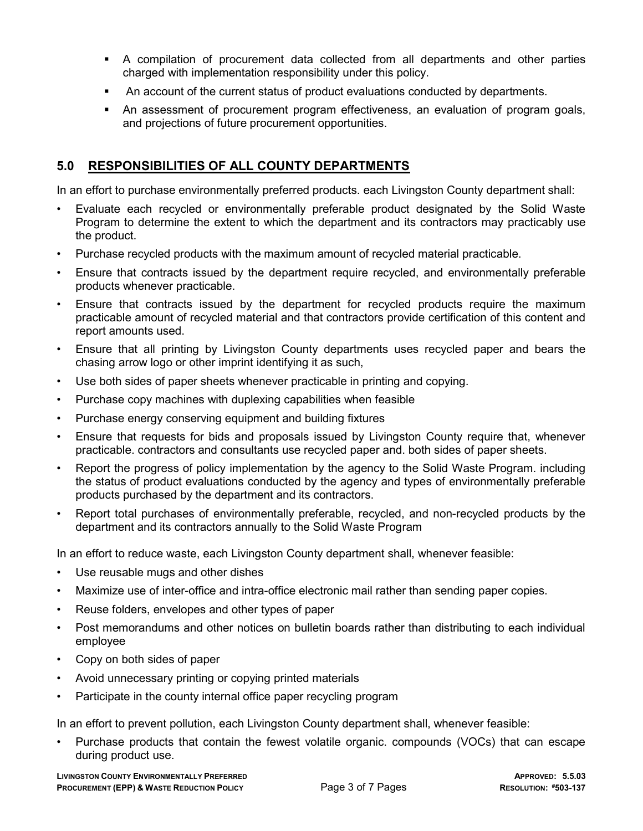- A compilation of procurement data collected from all departments and other parties charged with implementation responsibility under this policy.
- An account of the current status of product evaluations conducted by departments.
- An assessment of procurement program effectiveness, an evaluation of program goals, and projections of future procurement opportunities.

### 5.0 RESPONSIBILITIES OF ALL COUNTY DEPARTMENTS

In an effort to purchase environmentally preferred products. each Livingston County department shall:

- Evaluate each recycled or environmentally preferable product designated by the Solid Waste Program to determine the extent to which the department and its contractors may practicably use the product.
- Purchase recycled products with the maximum amount of recycled material practicable.
- Ensure that contracts issued by the department require recycled, and environmentally preferable products whenever practicable.
- Ensure that contracts issued by the department for recycled products require the maximum practicable amount of recycled material and that contractors provide certification of this content and report amounts used.
- Ensure that all printing by Livingston County departments uses recycled paper and bears the chasing arrow logo or other imprint identifying it as such,
- Use both sides of paper sheets whenever practicable in printing and copying.
- Purchase copy machines with duplexing capabilities when feasible
- Purchase energy conserving equipment and building fixtures
- Ensure that requests for bids and proposals issued by Livingston County require that, whenever practicable. contractors and consultants use recycled paper and. both sides of paper sheets.
- Report the progress of policy implementation by the agency to the Solid Waste Program. including the status of product evaluations conducted by the agency and types of environmentally preferable products purchased by the department and its contractors.
- Report total purchases of environmentally preferable, recycled, and non-recycled products by the department and its contractors annually to the Solid Waste Program

In an effort to reduce waste, each Livingston County department shall, whenever feasible:

- Use reusable mugs and other dishes
- Maximize use of inter-office and intra-office electronic mail rather than sending paper copies.
- Reuse folders, envelopes and other types of paper
- Post memorandums and other notices on bulletin boards rather than distributing to each individual employee
- Copy on both sides of paper
- Avoid unnecessary printing or copying printed materials
- Participate in the county internal office paper recycling program

In an effort to prevent pollution, each Livingston County department shall, whenever feasible:

• Purchase products that contain the fewest volatile organic. compounds (VOCs) that can escape during product use.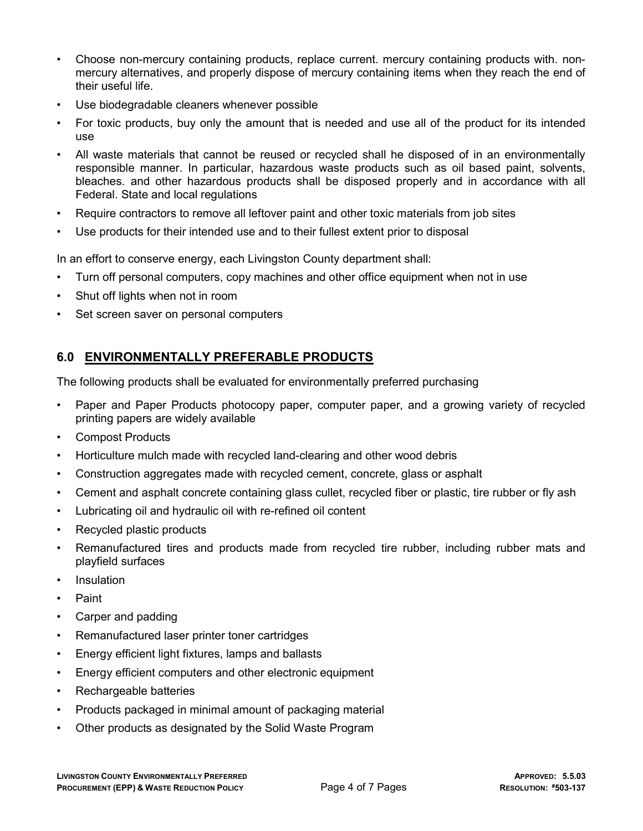- Choose non-mercury containing products, replace current. mercury containing products with. nonmercury alternatives, and properly dispose of mercury containing items when they reach the end of their useful life.
- Use biodegradable cleaners whenever possible
- For toxic products, buy only the amount that is needed and use all of the product for its intended use
- All waste materials that cannot be reused or recycled shall he disposed of in an environmentally responsible manner. In particular, hazardous waste products such as oil based paint, solvents, bleaches. and other hazardous products shall be disposed properly and in accordance with all Federal. State and local regulations
- Require contractors to remove all leftover paint and other toxic materials from job sites
- Use products for their intended use and to their fullest extent prior to disposal

In an effort to conserve energy, each Livingston County department shall:

- Turn off personal computers, copy machines and other office equipment when not in use
- Shut off lights when not in room
- Set screen saver on personal computers

### 6.0 ENVIRONMENTALLY PREFERABLE PRODUCTS

The following products shall be evaluated for environmentally preferred purchasing

- Paper and Paper Products photocopy paper, computer paper, and a growing variety of recycled printing papers are widely available
- Compost Products
- Horticulture mulch made with recycled land-clearing and other wood debris
- Construction aggregates made with recycled cement, concrete, glass or asphalt
- Cement and asphalt concrete containing glass cullet, recycled fiber or plastic, tire rubber or fly ash
- Lubricating oil and hydraulic oil with re-refined oil content
- Recycled plastic products
- Remanufactured tires and products made from recycled tire rubber, including rubber mats and playfield surfaces
- Insulation
- Paint
- Carper and padding
- Remanufactured laser printer toner cartridges
- Energy efficient light fixtures, lamps and ballasts
- Energy efficient computers and other electronic equipment
- Rechargeable batteries
- Products packaged in minimal amount of packaging material
- Other products as designated by the Solid Waste Program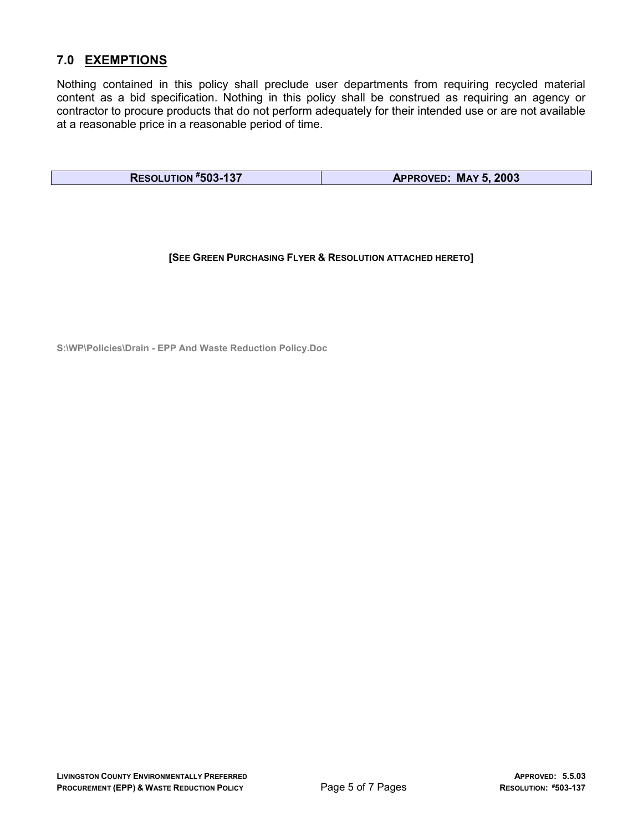### 7.0 EXEMPTIONS

Nothing contained in this policy shall preclude user departments from requiring recycled material content as a bid specification. Nothing in this policy shall be construed as requiring an agency or contractor to procure products that do not perform adequately for their intended use or are not available at a reasonable price in a reasonable period of time.

RESOLUTION #503-137 **APPROVED: MAY 5, 2003** 

[SEE GREEN PURCHASING FLYER & RESOLUTION ATTACHED HERETO]

S:\WP\Policies\Drain - EPP And Waste Reduction Policy.Doc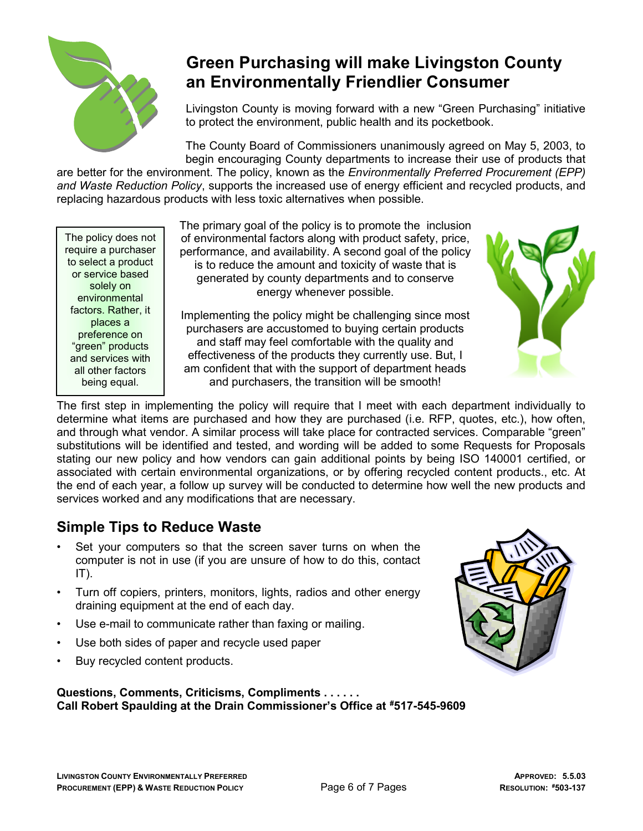

# Green Purchasing will make Livingston County an Environmentally Friendlier Consumer

Livingston County is moving forward with a new "Green Purchasing" initiative to protect the environment, public health and its pocketbook.

The County Board of Commissioners unanimously agreed on May 5, 2003, to begin encouraging County departments to increase their use of products that

are better for the environment. The policy, known as the *Environmentally Preferred Procurement (EPP)* and Waste Reduction Policy, supports the increased use of energy efficient and recycled products, and replacing hazardous products with less toxic alternatives when possible.

The policy does not require a purchaser to select a product or service based solely on environmental factors. Rather, it places a preference on "green" products and services with all other factors being equal.

The primary goal of the policy is to promote the inclusion of environmental factors along with product safety, price, performance, and availability. A second goal of the policy is to reduce the amount and toxicity of waste that is generated by county departments and to conserve energy whenever possible.

Implementing the policy might be challenging since most purchasers are accustomed to buying certain products and staff may feel comfortable with the quality and effectiveness of the products they currently use. But, I am confident that with the support of department heads and purchasers, the transition will be smooth!



The first step in implementing the policy will require that I meet with each department individually to determine what items are purchased and how they are purchased (i.e. RFP, quotes, etc.), how often, and through what vendor. A similar process will take place for contracted services. Comparable "green" substitutions will be identified and tested, and wording will be added to some Requests for Proposals stating our new policy and how vendors can gain additional points by being ISO 140001 certified, or associated with certain environmental organizations, or by offering recycled content products., etc. At the end of each year, a follow up survey will be conducted to determine how well the new products and services worked and any modifications that are necessary.

## Simple Tips to Reduce Waste

- Set your computers so that the screen saver turns on when the computer is not in use (if you are unsure of how to do this, contact  $IT$ ).
- Turn off copiers, printers, monitors, lights, radios and other energy draining equipment at the end of each day.
- Use e-mail to communicate rather than faxing or mailing.
- Use both sides of paper and recycle used paper
- Buy recycled content products.

#### Questions, Comments, Criticisms, Compliments . . . . . . Call Robert Spaulding at the Drain Commissioner's Office at #517-545-9609